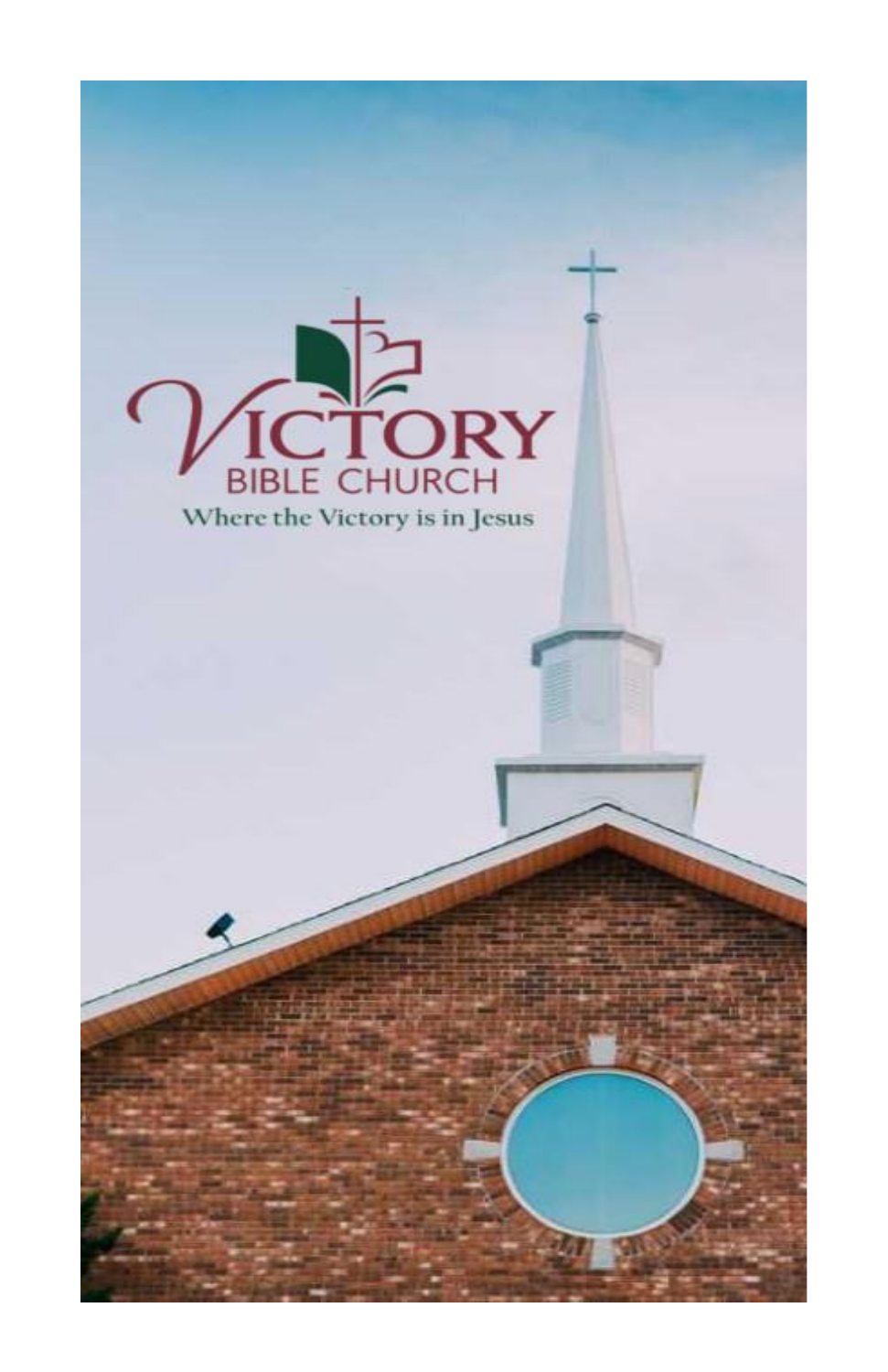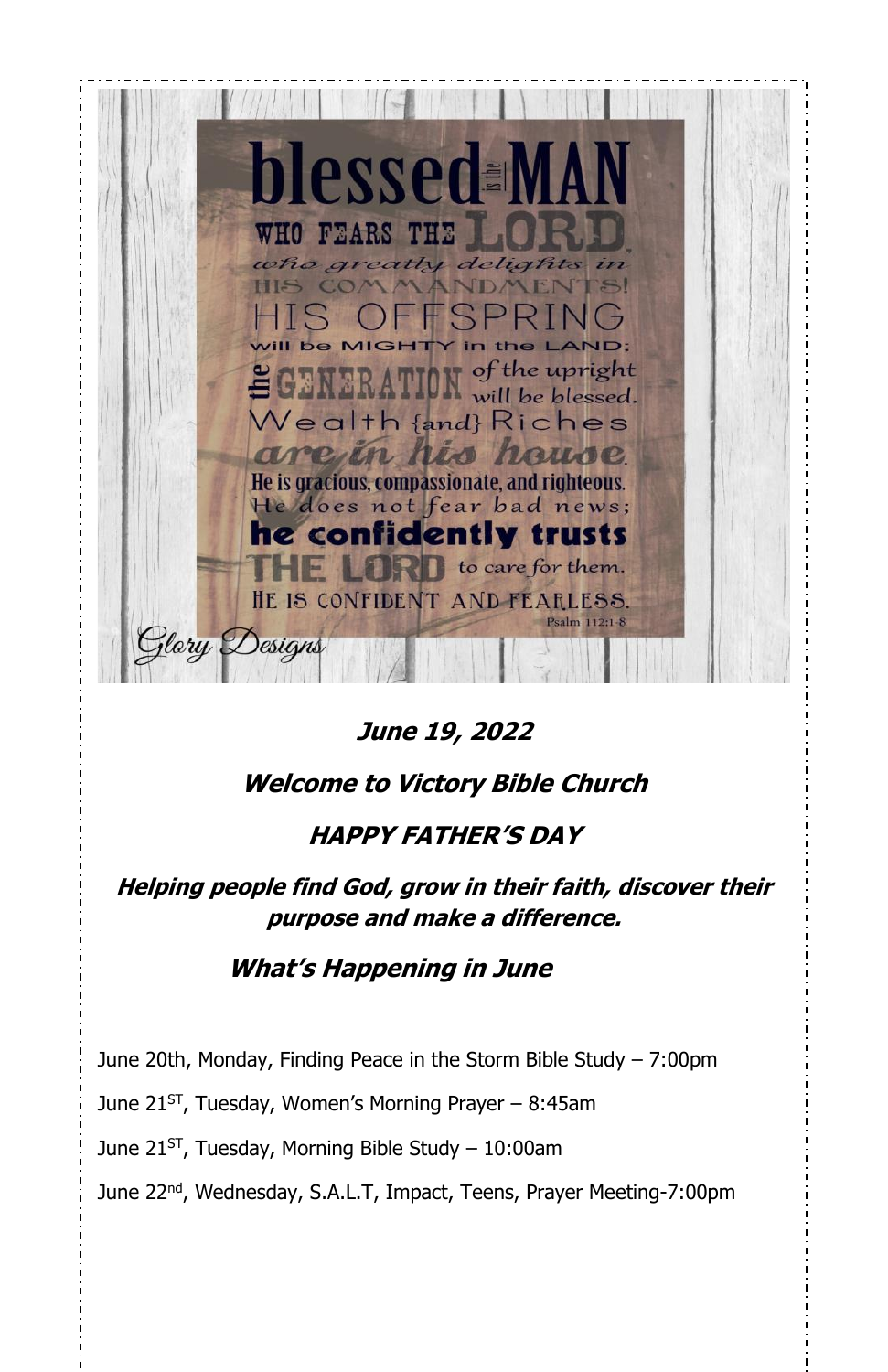

**June 19, 2022**

#### **Welcome to Victory Bible Church**

#### **HAPPY FATHER'S DAY**

**Helping people find God, grow in their faith, discover their purpose and make a difference.**

#### **What's Happening in June**

June 20th, Monday, Finding Peace in the Storm Bible Study – 7:00pm

June 21<sup>st</sup>, Tuesday, Women's Morning Prayer – 8:45am

June 21<sup>st</sup>, Tuesday, Morning Bible Study – 10:00am

June 22<sup>nd</sup>, Wednesday, S.A.L.T, Impact, Teens, Prayer Meeting-7:00pm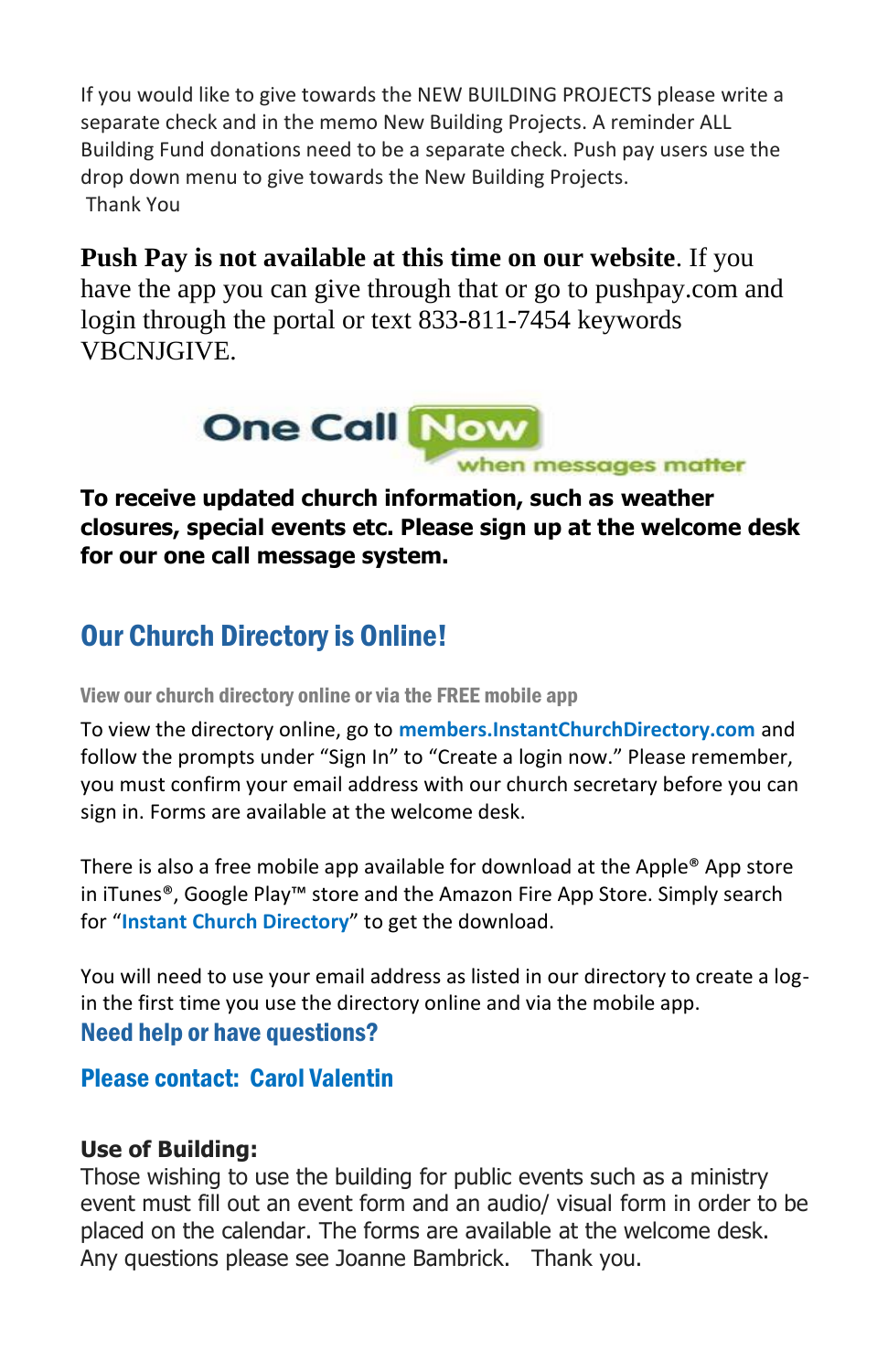If you would like to give towards the NEW BUILDING PROJECTS please write a separate check and in the memo New Building Projects. A reminder ALL Building Fund donations need to be a separate check. Push pay users use the drop down menu to give towards the New Building Projects. Thank You

### **Push Pay is not available at this time on our website**. If you

have the app you can give through that or go to pushpay.com and login through the portal or text 833-811-7454 keywords VBCNJGIVE.



**To receive updated church information, such as weather closures, special events etc. Please sign up at the welcome desk for our one call message system.**

## Our Church Directory is Online!

View our church directory online or via the FREE mobile app

To view the directory online, go to **members.InstantChurchDirectory.com** and follow the prompts under "Sign In" to "Create a login now." Please remember, you must confirm your email address with our church secretary before you can sign in. Forms are available at the welcome desk.

There is also a free mobile app available for download at the Apple® App store in iTunes®, Google Play™ store and the Amazon Fire App Store. Simply search for "**Instant Church Directory**" to get the download.

You will need to use your email address as listed in our directory to create a login the first time you use the directory online and via the mobile app. Need help or have questions?

#### Please contact: Carol Valentin

#### **Use of Building:**

Those wishing to use the building for public events such as a ministry event must fill out an event form and an audio/ visual form in order to be placed on the calendar. The forms are available at the welcome desk. Any questions please see Joanne Bambrick. Thank you.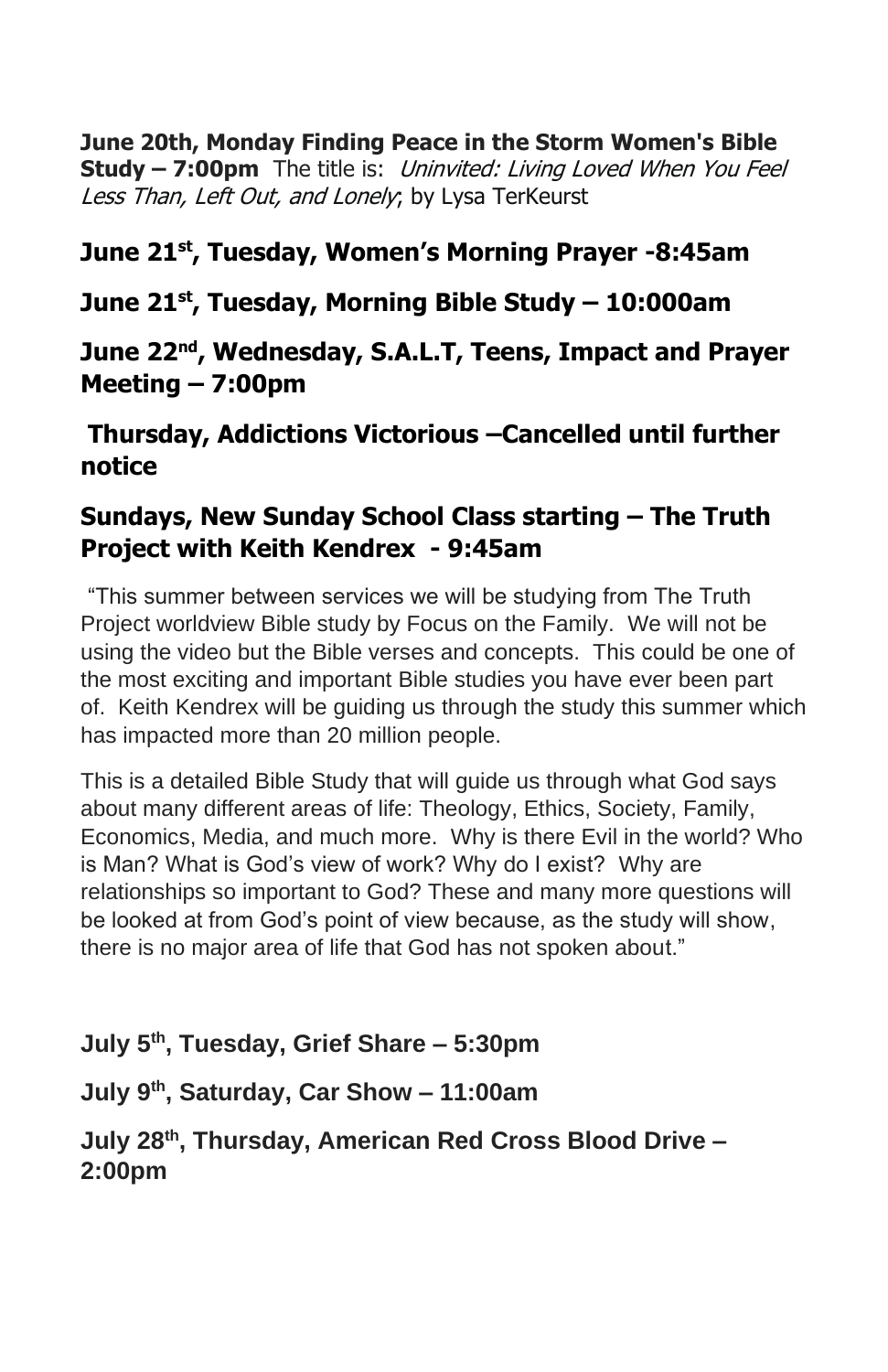**June 20th, Monday Finding Peace in the Storm Women's Bible Study – 7:00pm** The title is: Uninvited: Living Loved When You Feel Less Than, Left Out, and Lonely; by Lysa TerKeurst

#### **June 21st, Tuesday, Women's Morning Prayer -8:45am**

#### **June 21st , Tuesday, Morning Bible Study – 10:000am**

#### **June 22nd , Wednesday, S.A.L.T, Teens, Impact and Prayer Meeting – 7:00pm**

#### **Thursday, Addictions Victorious –Cancelled until further notice**

#### **Sundays, New Sunday School Class starting – The Truth Project with Keith Kendrex - 9:45am**

"This summer between services we will be studying from The Truth Project worldview Bible study by Focus on the Family. We will not be using the video but the Bible verses and concepts. This could be one of the most exciting and important Bible studies you have ever been part of. Keith Kendrex will be guiding us through the study this summer which has impacted more than 20 million people.

This is a detailed Bible Study that will guide us through what God says about many different areas of life: Theology, Ethics, Society, Family, Economics, Media, and much more. Why is there Evil in the world? Who is Man? What is God's view of work? Why do I exist? Why are relationships so important to God? These and many more questions will be looked at from God's point of view because, as the study will show, there is no major area of life that God has not spoken about."

#### **July 5th, Tuesday, Grief Share – 5:30pm**

#### **July 9th, Saturday, Car Show – 11:00am**

#### **July 28th, Thursday, American Red Cross Blood Drive – 2:00pm**